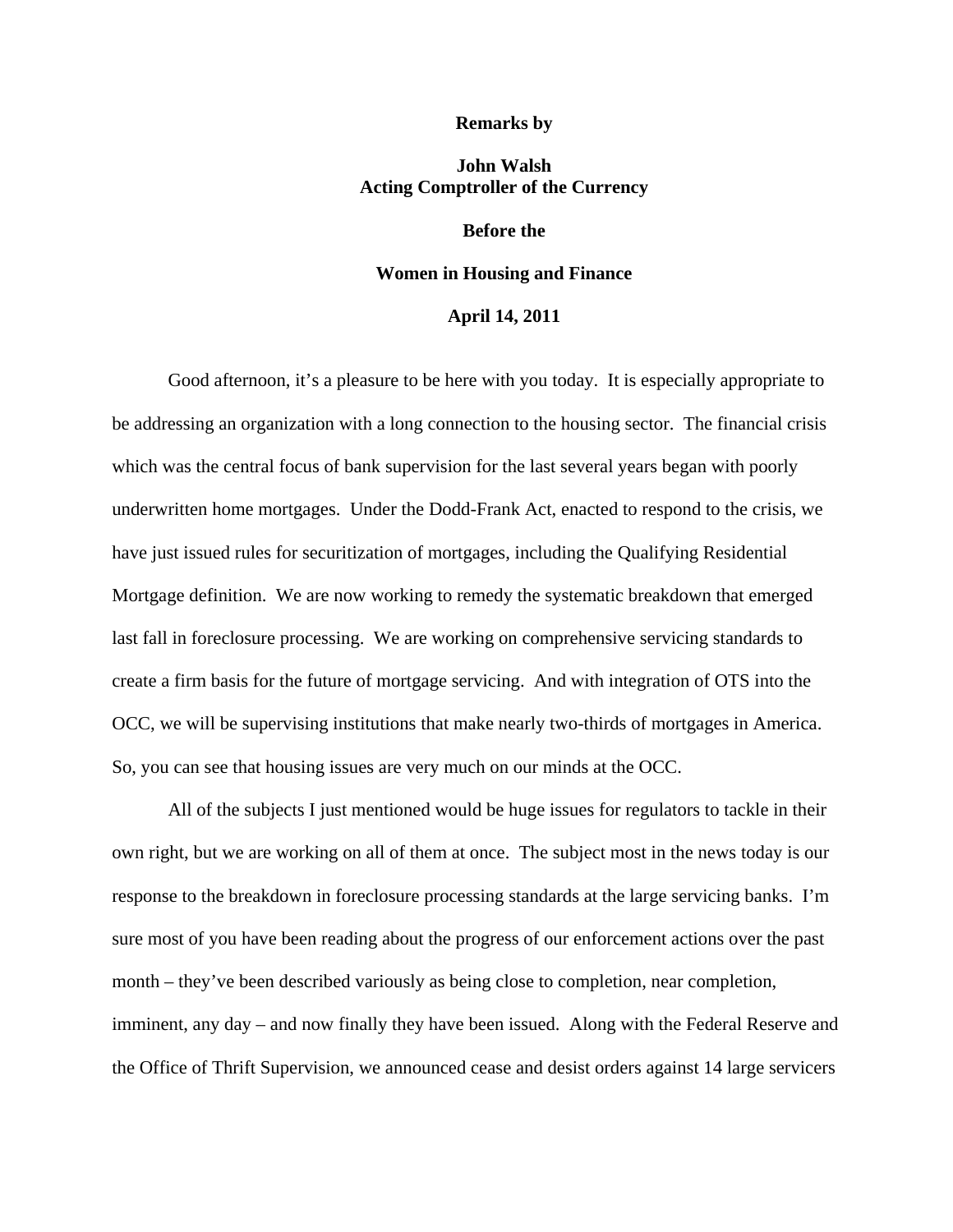#### **Remarks by**

# **John Walsh Acting Comptroller of the Currency**

## **Before the**

#### **Women in Housing and Finance**

### **April 14, 2011**

Good afternoon, it's a pleasure to be here with you today. It is especially appropriate to be addressing an organization with a long connection to the housing sector. The financial crisis which was the central focus of bank supervision for the last several years began with poorly underwritten home mortgages. Under the Dodd-Frank Act, enacted to respond to the crisis, we have just issued rules for securitization of mortgages, including the Qualifying Residential Mortgage definition. We are now working to remedy the systematic breakdown that emerged last fall in foreclosure processing. We are working on comprehensive servicing standards to create a firm basis for the future of mortgage servicing. And with integration of OTS into the OCC, we will be supervising institutions that make nearly two-thirds of mortgages in America. So, you can see that housing issues are very much on our minds at the OCC.

All of the subjects I just mentioned would be huge issues for regulators to tackle in their own right, but we are working on all of them at once. The subject most in the news today is our response to the breakdown in foreclosure processing standards at the large servicing banks. I'm sure most of you have been reading about the progress of our enforcement actions over the past month – they've been described variously as being close to completion, near completion, imminent, any day – and now finally they have been issued. Along with the Federal Reserve and the Office of Thrift Supervision, we announced cease and desist orders against 14 large servicers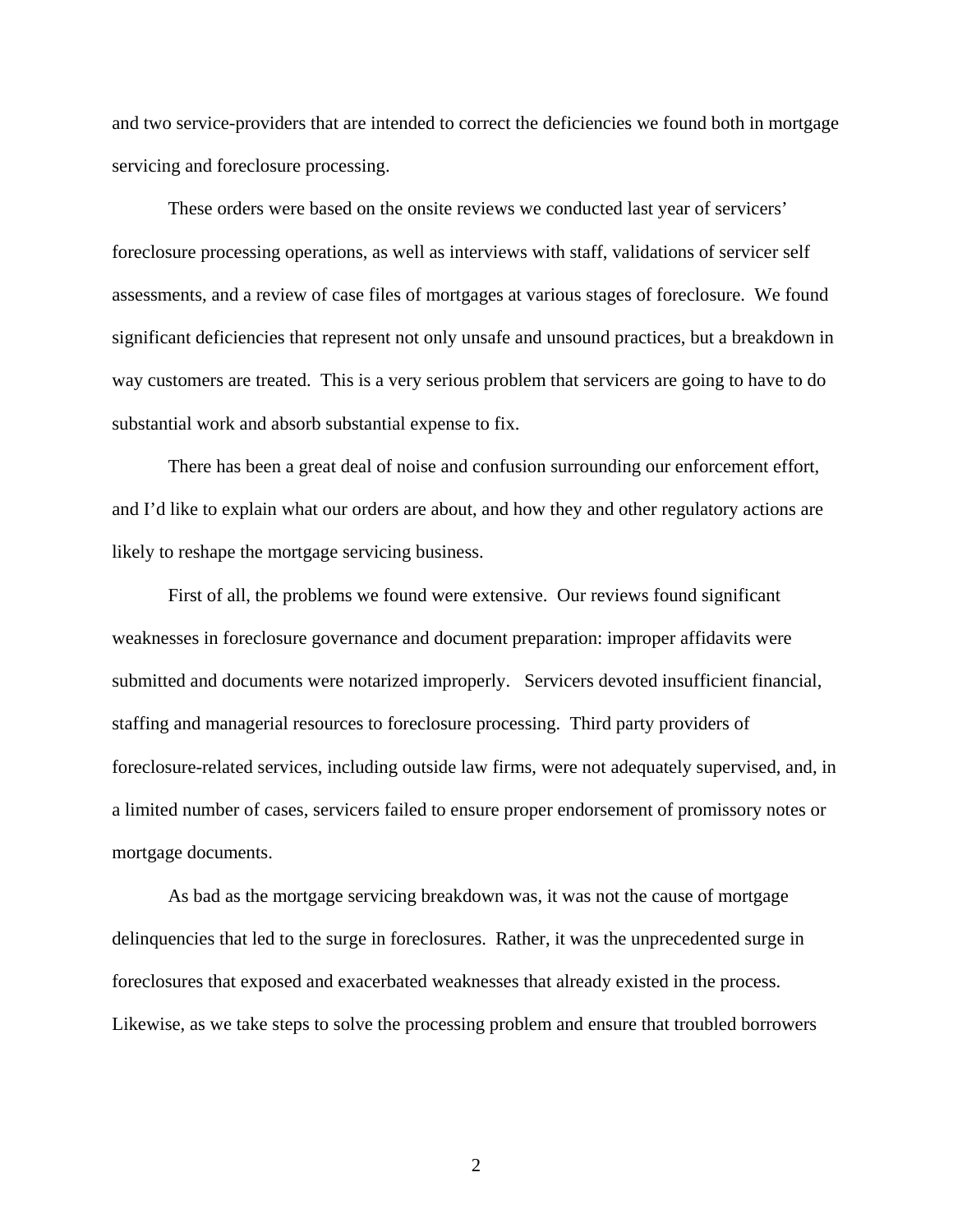and two service-providers that are intended to correct the deficiencies we found both in mortgage servicing and foreclosure processing.

These orders were based on the onsite reviews we conducted last year of servicers' foreclosure processing operations, as well as interviews with staff, validations of servicer self assessments, and a review of case files of mortgages at various stages of foreclosure. We found significant deficiencies that represent not only unsafe and unsound practices, but a breakdown in way customers are treated. This is a very serious problem that servicers are going to have to do substantial work and absorb substantial expense to fix.

There has been a great deal of noise and confusion surrounding our enforcement effort, and I'd like to explain what our orders are about, and how they and other regulatory actions are likely to reshape the mortgage servicing business.

First of all, the problems we found were extensive. Our reviews found significant weaknesses in foreclosure governance and document preparation: improper affidavits were submitted and documents were notarized improperly. Servicers devoted insufficient financial, staffing and managerial resources to foreclosure processing. Third party providers of foreclosure-related services, including outside law firms, were not adequately supervised, and, in a limited number of cases, servicers failed to ensure proper endorsement of promissory notes or mortgage documents.

As bad as the mortgage servicing breakdown was, it was not the cause of mortgage delinquencies that led to the surge in foreclosures. Rather, it was the unprecedented surge in foreclosures that exposed and exacerbated weaknesses that already existed in the process. Likewise, as we take steps to solve the processing problem and ensure that troubled borrowers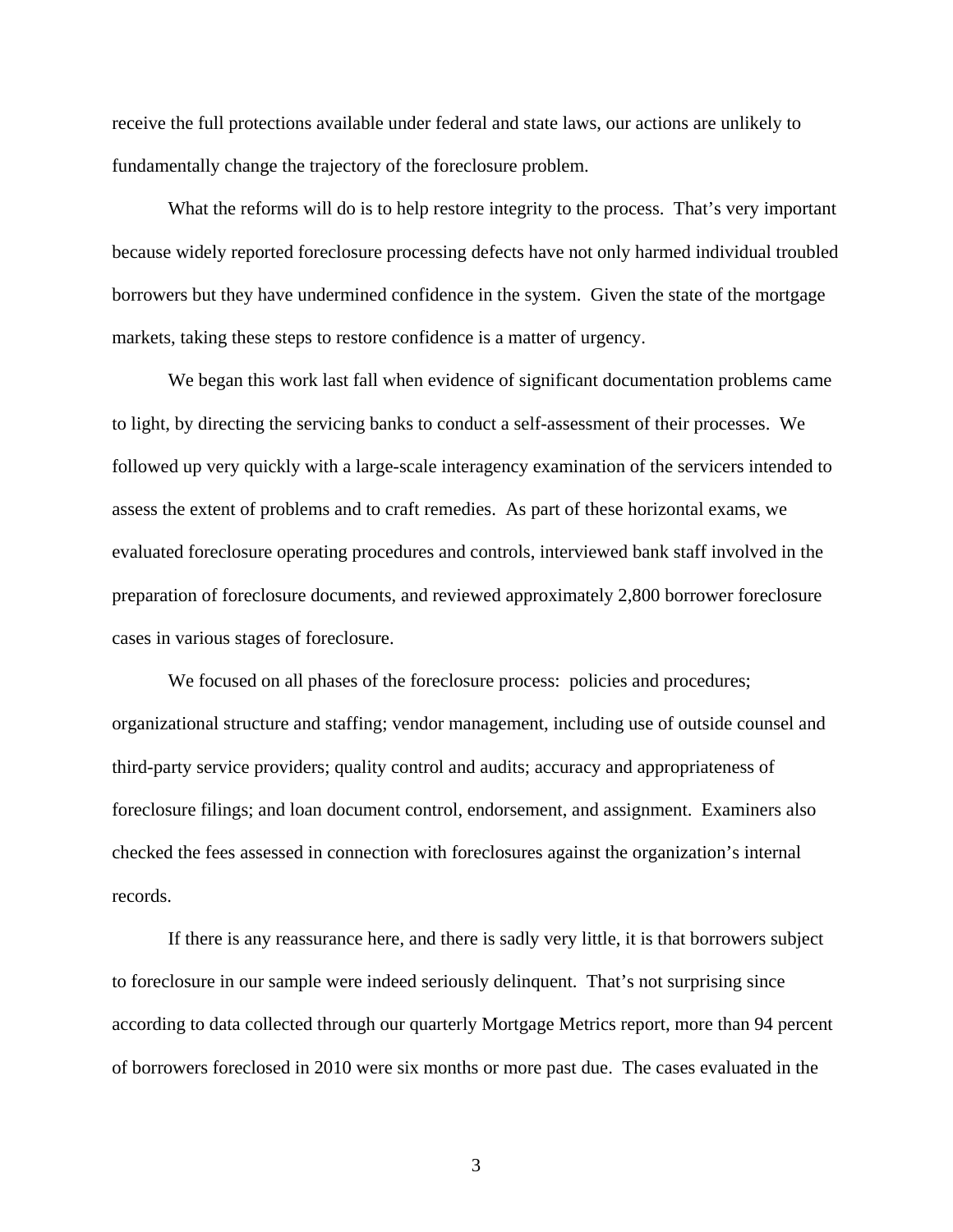receive the full protections available under federal and state laws, our actions are unlikely to fundamentally change the trajectory of the foreclosure problem.

What the reforms will do is to help restore integrity to the process. That's very important because widely reported foreclosure processing defects have not only harmed individual troubled borrowers but they have undermined confidence in the system. Given the state of the mortgage markets, taking these steps to restore confidence is a matter of urgency.

We began this work last fall when evidence of significant documentation problems came to light, by directing the servicing banks to conduct a self-assessment of their processes. We followed up very quickly with a large-scale interagency examination of the servicers intended to assess the extent of problems and to craft remedies. As part of these horizontal exams, we evaluated foreclosure operating procedures and controls, interviewed bank staff involved in the preparation of foreclosure documents, and reviewed approximately 2,800 borrower foreclosure cases in various stages of foreclosure.

We focused on all phases of the foreclosure process: policies and procedures; organizational structure and staffing; vendor management, including use of outside counsel and third-party service providers; quality control and audits; accuracy and appropriateness of foreclosure filings; and loan document control, endorsement, and assignment. Examiners also checked the fees assessed in connection with foreclosures against the organization's internal records.

If there is any reassurance here, and there is sadly very little, it is that borrowers subject to foreclosure in our sample were indeed seriously delinquent. That's not surprising since according to data collected through our quarterly Mortgage Metrics report, more than 94 percent of borrowers foreclosed in 2010 were six months or more past due. The cases evaluated in the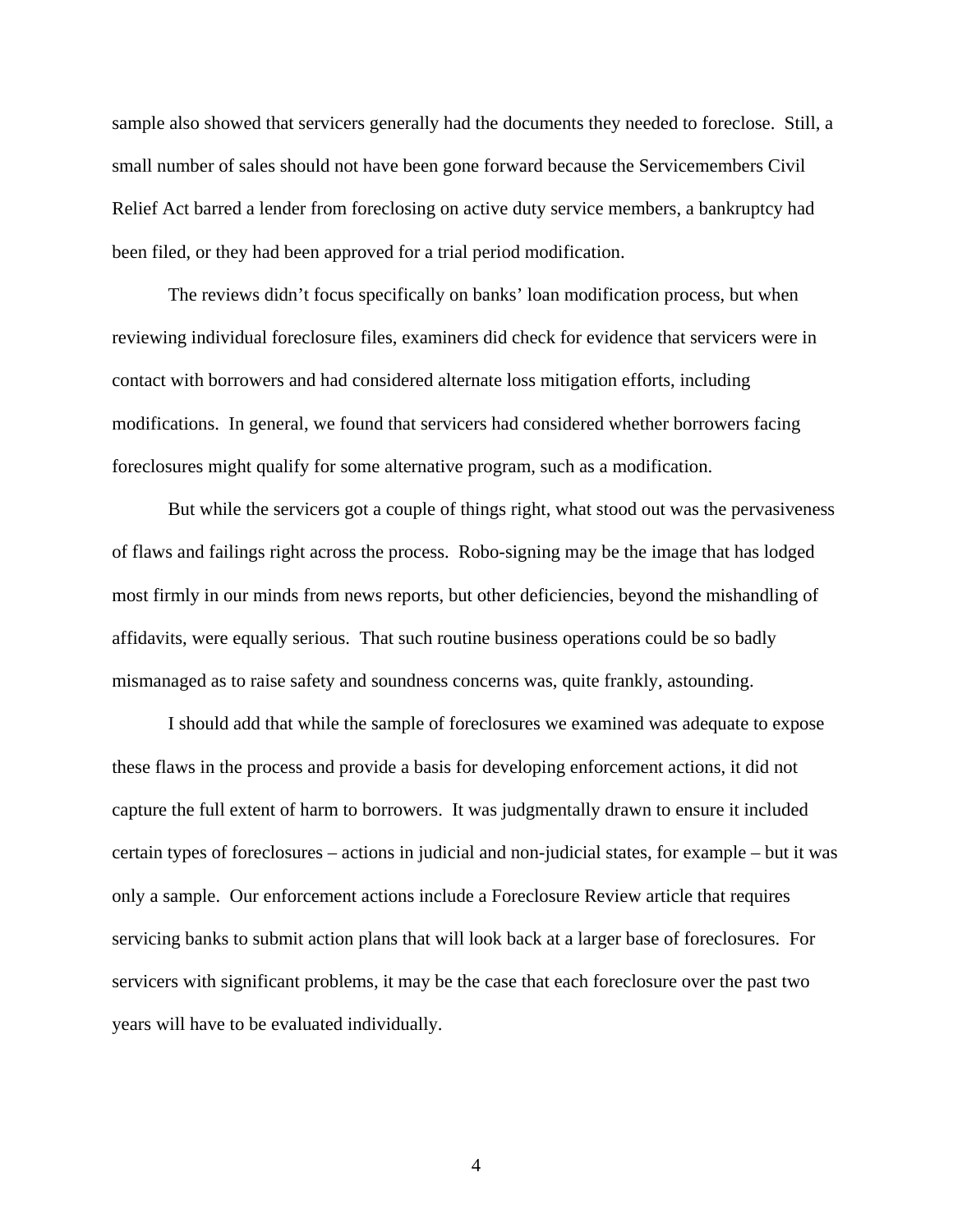sample also showed that servicers generally had the documents they needed to foreclose. Still, a small number of sales should not have been gone forward because the Servicemembers Civil Relief Act barred a lender from foreclosing on active duty service members, a bankruptcy had been filed, or they had been approved for a trial period modification.

The reviews didn't focus specifically on banks' loan modification process, but when reviewing individual foreclosure files, examiners did check for evidence that servicers were in contact with borrowers and had considered alternate loss mitigation efforts, including modifications. In general, we found that servicers had considered whether borrowers facing foreclosures might qualify for some alternative program, such as a modification.

But while the servicers got a couple of things right, what stood out was the pervasiveness of flaws and failings right across the process. Robo-signing may be the image that has lodged most firmly in our minds from news reports, but other deficiencies, beyond the mishandling of affidavits, were equally serious. That such routine business operations could be so badly mismanaged as to raise safety and soundness concerns was, quite frankly, astounding.

I should add that while the sample of foreclosures we examined was adequate to expose these flaws in the process and provide a basis for developing enforcement actions, it did not capture the full extent of harm to borrowers. It was judgmentally drawn to ensure it included certain types of foreclosures – actions in judicial and non-judicial states, for example – but it was only a sample. Our enforcement actions include a Foreclosure Review article that requires servicing banks to submit action plans that will look back at a larger base of foreclosures. For servicers with significant problems, it may be the case that each foreclosure over the past two years will have to be evaluated individually.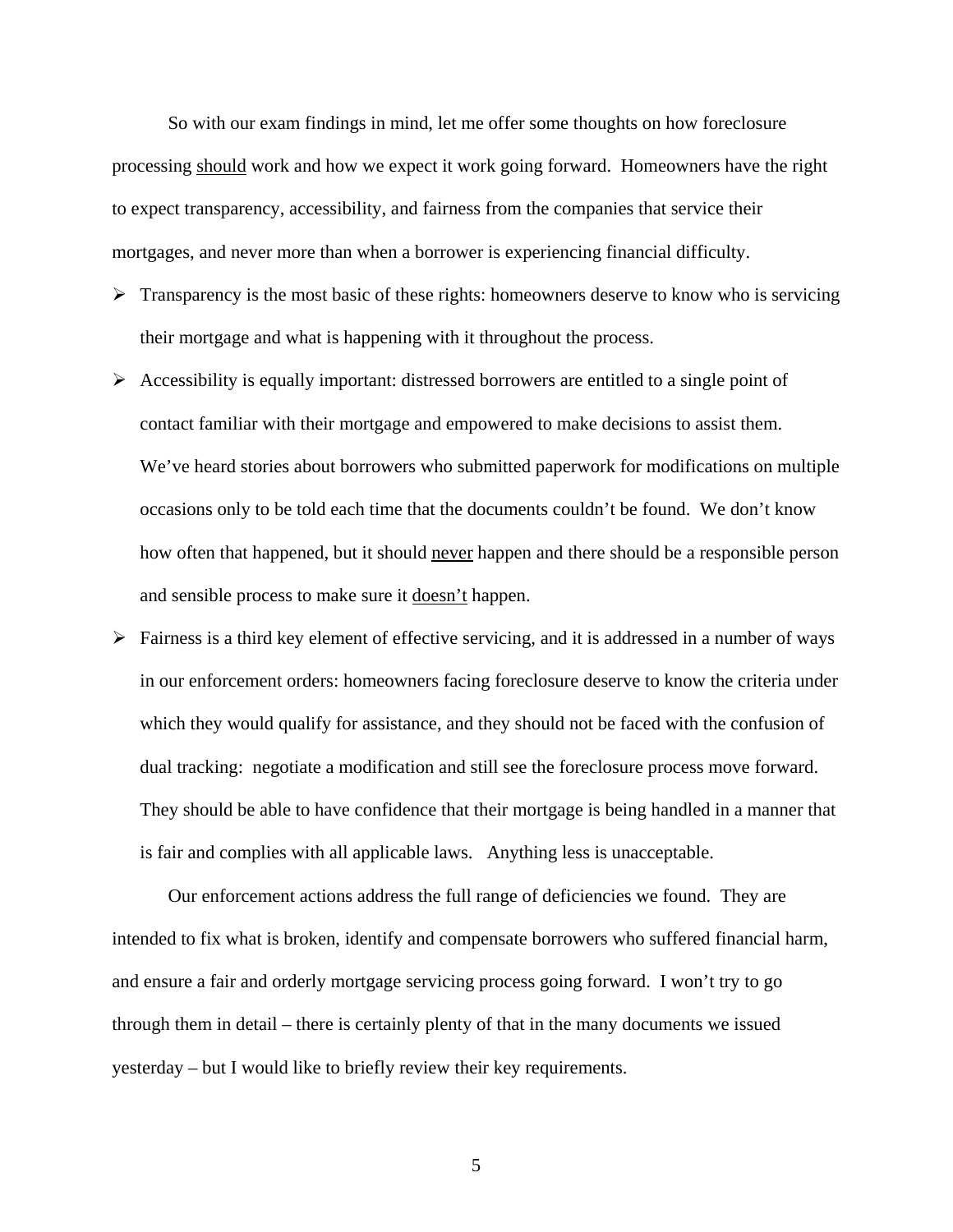So with our exam findings in mind, let me offer some thoughts on how foreclosure processing should work and how we expect it work going forward. Homeowners have the right to expect transparency, accessibility, and fairness from the companies that service their mortgages, and never more than when a borrower is experiencing financial difficulty.

- $\triangleright$  Transparency is the most basic of these rights: homeowners deserve to know who is servicing their mortgage and what is happening with it throughout the process.
- $\triangleright$  Accessibility is equally important: distressed borrowers are entitled to a single point of contact familiar with their mortgage and empowered to make decisions to assist them. We've heard stories about borrowers who submitted paperwork for modifications on multiple occasions only to be told each time that the documents couldn't be found. We don't know how often that happened, but it should never happen and there should be a responsible person and sensible process to make sure it doesn't happen.
- $\triangleright$  Fairness is a third key element of effective servicing, and it is addressed in a number of ways in our enforcement orders: homeowners facing foreclosure deserve to know the criteria under which they would qualify for assistance, and they should not be faced with the confusion of dual tracking: negotiate a modification and still see the foreclosure process move forward. They should be able to have confidence that their mortgage is being handled in a manner that is fair and complies with all applicable laws. Anything less is unacceptable.

Our enforcement actions address the full range of deficiencies we found. They are intended to fix what is broken, identify and compensate borrowers who suffered financial harm, and ensure a fair and orderly mortgage servicing process going forward. I won't try to go through them in detail – there is certainly plenty of that in the many documents we issued yesterday – but I would like to briefly review their key requirements.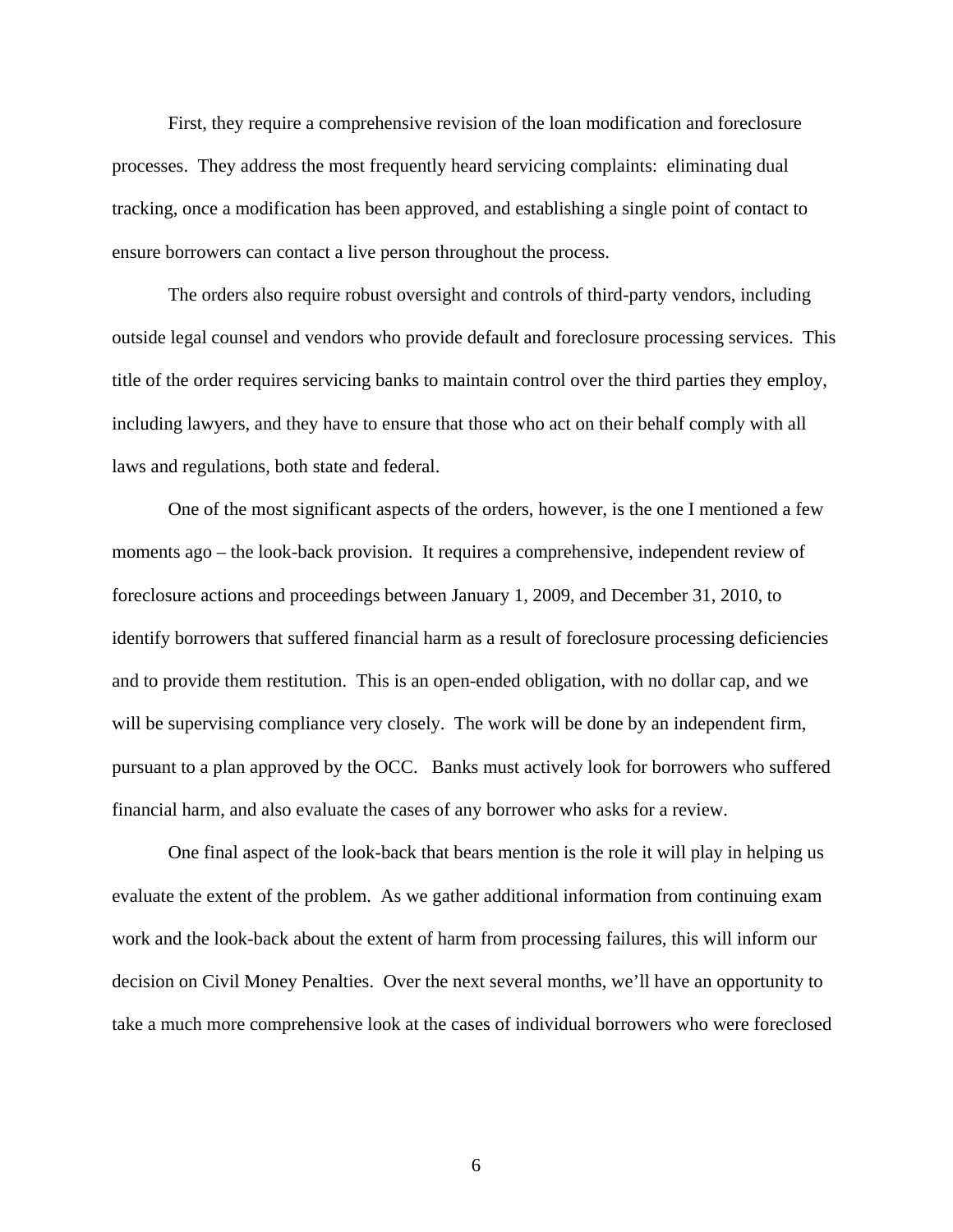First, they require a comprehensive revision of the loan modification and foreclosure processes. They address the most frequently heard servicing complaints: eliminating dual tracking, once a modification has been approved, and establishing a single point of contact to ensure borrowers can contact a live person throughout the process.

The orders also require robust oversight and controls of third-party vendors, including outside legal counsel and vendors who provide default and foreclosure processing services. This title of the order requires servicing banks to maintain control over the third parties they employ, including lawyers, and they have to ensure that those who act on their behalf comply with all laws and regulations, both state and federal.

One of the most significant aspects of the orders, however, is the one I mentioned a few moments ago – the look-back provision. It requires a comprehensive, independent review of foreclosure actions and proceedings between January 1, 2009, and December 31, 2010, to identify borrowers that suffered financial harm as a result of foreclosure processing deficiencies and to provide them restitution. This is an open-ended obligation, with no dollar cap, and we will be supervising compliance very closely. The work will be done by an independent firm, pursuant to a plan approved by the OCC. Banks must actively look for borrowers who suffered financial harm, and also evaluate the cases of any borrower who asks for a review.

One final aspect of the look-back that bears mention is the role it will play in helping us evaluate the extent of the problem. As we gather additional information from continuing exam work and the look-back about the extent of harm from processing failures, this will inform our decision on Civil Money Penalties. Over the next several months, we'll have an opportunity to take a much more comprehensive look at the cases of individual borrowers who were foreclosed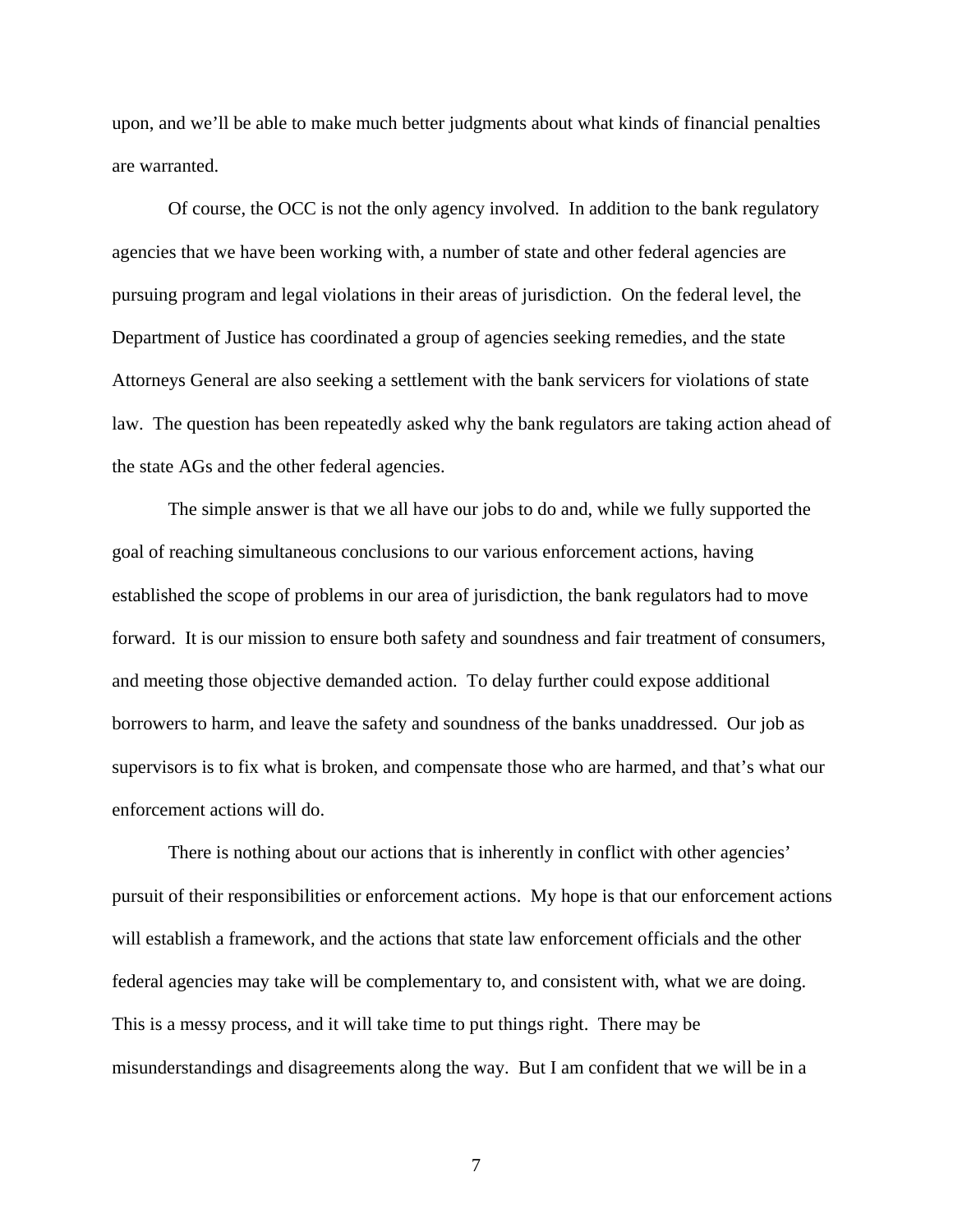upon, and we'll be able to make much better judgments about what kinds of financial penalties are warranted.

Of course, the OCC is not the only agency involved. In addition to the bank regulatory agencies that we have been working with, a number of state and other federal agencies are pursuing program and legal violations in their areas of jurisdiction. On the federal level, the Department of Justice has coordinated a group of agencies seeking remedies, and the state Attorneys General are also seeking a settlement with the bank servicers for violations of state law. The question has been repeatedly asked why the bank regulators are taking action ahead of the state AGs and the other federal agencies.

The simple answer is that we all have our jobs to do and, while we fully supported the goal of reaching simultaneous conclusions to our various enforcement actions, having established the scope of problems in our area of jurisdiction, the bank regulators had to move forward. It is our mission to ensure both safety and soundness and fair treatment of consumers, and meeting those objective demanded action. To delay further could expose additional borrowers to harm, and leave the safety and soundness of the banks unaddressed. Our job as supervisors is to fix what is broken, and compensate those who are harmed, and that's what our enforcement actions will do.

There is nothing about our actions that is inherently in conflict with other agencies' pursuit of their responsibilities or enforcement actions. My hope is that our enforcement actions will establish a framework, and the actions that state law enforcement officials and the other federal agencies may take will be complementary to, and consistent with, what we are doing. This is a messy process, and it will take time to put things right. There may be misunderstandings and disagreements along the way. But I am confident that we will be in a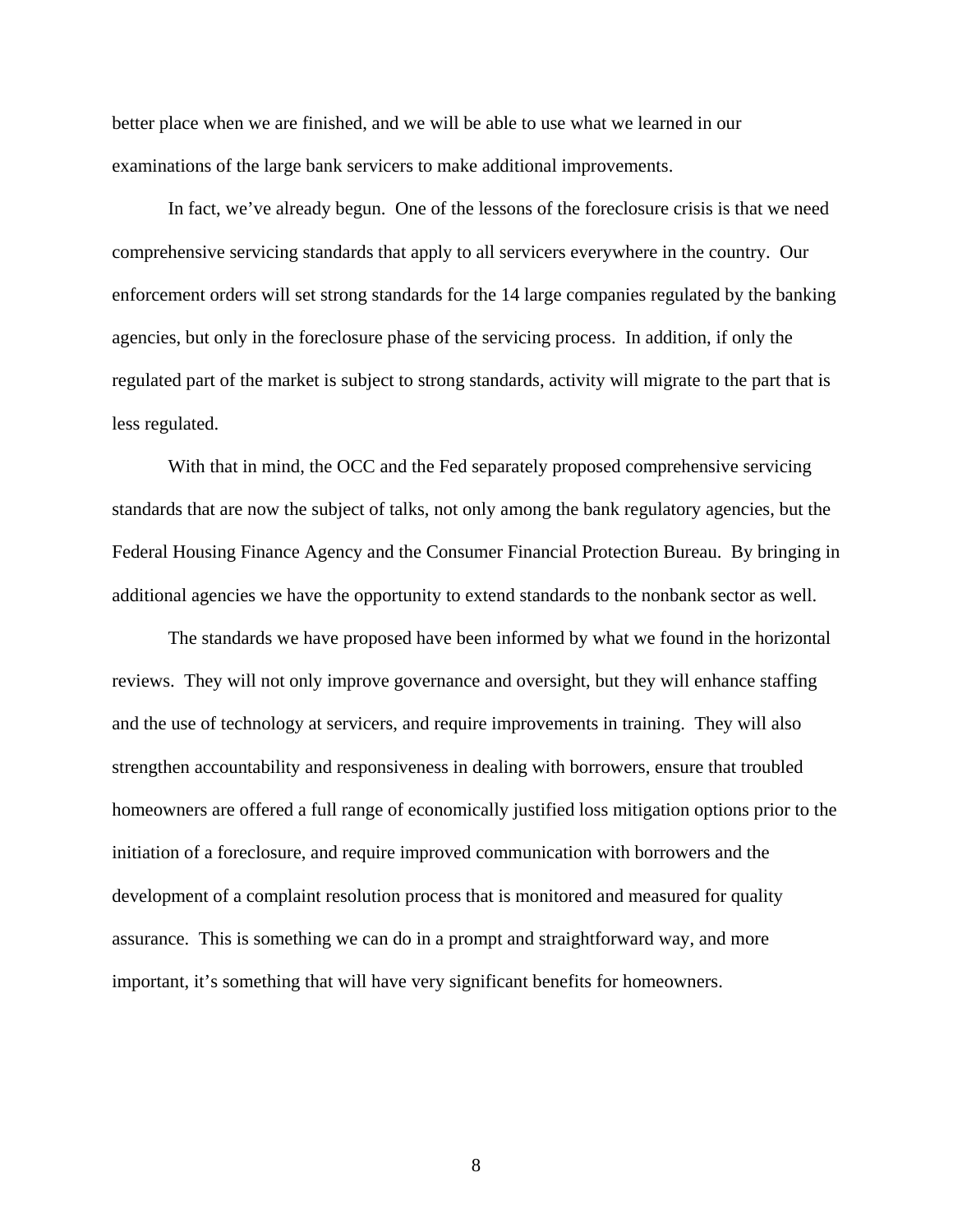better place when we are finished, and we will be able to use what we learned in our examinations of the large bank servicers to make additional improvements.

In fact, we've already begun. One of the lessons of the foreclosure crisis is that we need comprehensive servicing standards that apply to all servicers everywhere in the country. Our enforcement orders will set strong standards for the 14 large companies regulated by the banking agencies, but only in the foreclosure phase of the servicing process. In addition, if only the regulated part of the market is subject to strong standards, activity will migrate to the part that is less regulated.

With that in mind, the OCC and the Fed separately proposed comprehensive servicing standards that are now the subject of talks, not only among the bank regulatory agencies, but the Federal Housing Finance Agency and the Consumer Financial Protection Bureau. By bringing in additional agencies we have the opportunity to extend standards to the nonbank sector as well.

The standards we have proposed have been informed by what we found in the horizontal reviews. They will not only improve governance and oversight, but they will enhance staffing and the use of technology at servicers, and require improvements in training. They will also strengthen accountability and responsiveness in dealing with borrowers, ensure that troubled homeowners are offered a full range of economically justified loss mitigation options prior to the initiation of a foreclosure, and require improved communication with borrowers and the development of a complaint resolution process that is monitored and measured for quality assurance. This is something we can do in a prompt and straightforward way, and more important, it's something that will have very significant benefits for homeowners.